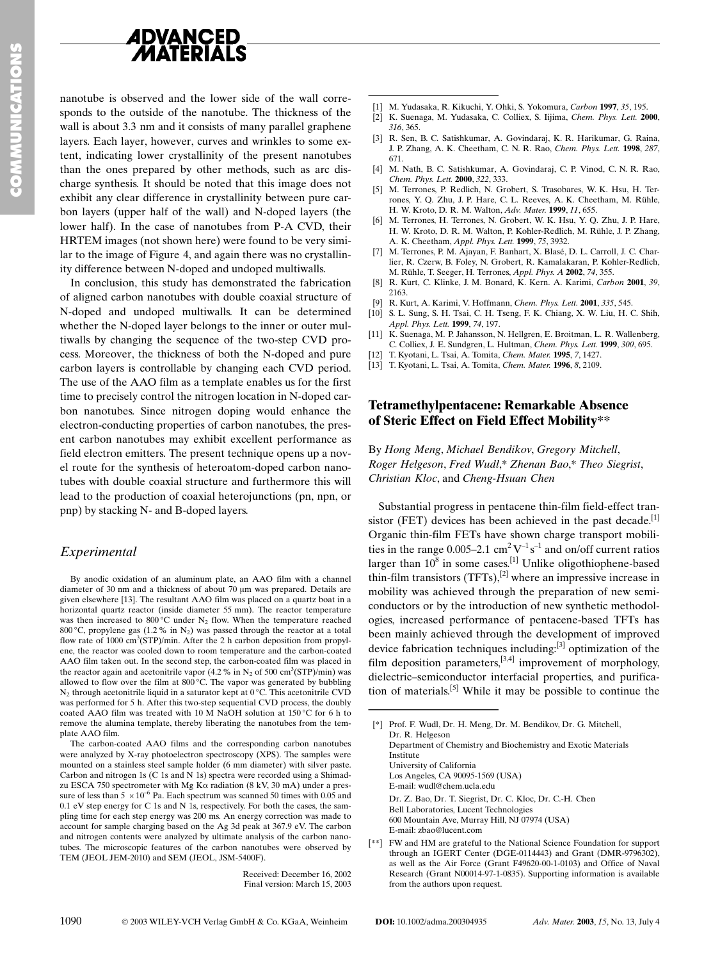

nanotube is observed and the lower side of the wall corresponds to the outside of the nanotube. The thickness of the wall is about 3.3 nm and it consists of many parallel graphene layers. Each layer, however, curves and wrinkles to some extent, indicating lower crystallinity of the present nanotubes than the ones prepared by other methods, such as arc discharge synthesis. It should be noted that this image does not exhibit any clear difference in crystallinity between pure carbon layers (upper half of the wall) and N-doped layers (the lower half). In the case of nanotubes from P-A CVD, their HRTEM images (not shown here) were found to be very similar to the image of Figure 4, and again there was no crystallinity difference between N-doped and undoped multiwalls.

In conclusion, this study has demonstrated the fabrication of aligned carbon nanotubes with double coaxial structure of N-doped and undoped multiwalls. It can be determined whether the N-doped layer belongs to the inner or outer multiwalls by changing the sequence of the two-step CVD process. Moreover, the thickness of both the N-doped and pure carbon layers is controllable by changing each CVD period. The use of the AAO film as a template enables us for the first time to precisely control the nitrogen location in N-doped carbon nanotubes. Since nitrogen doping would enhance the electron-conducting properties of carbon nanotubes, the present carbon nanotubes may exhibit excellent performance as field electron emitters. The present technique opens up a novel route for the synthesis of heteroatom-doped carbon nanotubes with double coaxial structure and furthermore this will lead to the production of coaxial heterojunctions (pn, npn, or pnp) by stacking N- and B-doped layers.

## Experimental

By anodic oxidation of an aluminum plate, an AAO film with a channel diameter of 30 nm and a thickness of about 70 µm was prepared. Details are given elsewhere [13]. The resultant AAO film was placed on a quartz boat in a horizontal quartz reactor (inside diameter 55 mm). The reactor temperature was then increased to 800 °C under  $N_2$  flow. When the temperature reached 800 °C, propylene gas (1.2 % in  $N_2$ ) was passed through the reactor at a total flow rate of 1000  $\text{cm}^3(\text{STP})/\text{min}$ . After the 2 h carbon deposition from propylene, the reactor was cooled down to room temperature and the carbon-coated AAO film taken out. In the second step, the carbon-coated film was placed in the reactor again and acetonitrile vapor (4.2 % in  $N_2$  of 500 cm<sup>3</sup>(STP)/min) was allowed to flow over the film at 800 °C. The vapor was generated by bubbling  $N_2$  through acetonitrile liquid in a saturator kept at 0 °C. This acetonitrile CVD was performed for 5 h. After this two-step sequential CVD process, the doubly coated AAO film was treated with 10 M NaOH solution at 150 °C for 6 h to remove the alumina template, thereby liberating the nanotubes from the template AAO film.

The carbon-coated AAO films and the corresponding carbon nanotubes were analyzed by X-ray photoelectron spectroscopy (XPS). The samples were mounted on a stainless steel sample holder (6 mm diameter) with silver paste. Carbon and nitrogen 1s  $(C \text{ 1s and N 1s})$  spectra were recorded using a Shimadzu ESCA 750 spectrometer with Mg K $\alpha$  radiation (8 kV, 30 mA) under a pressure of less than 5  $\times 10^{-6}$  Pa. Each spectrum was scanned 50 times with 0.05 and 0.1 eV step energy for C 1s and N 1s, respectively. For both the cases, the sampling time for each step energy was 200 ms. An energy correction was made to account for sample charging based on the Ag 3d peak at 367.9 eV. The carbon and nitrogen contents were analyzed by ultimate analysis of the carbon nanotubes. The microscopic features of the carbon nanotubes were observed by TEM (JEOL JEM-2010) and SEM (JEOL, JSM-5400F).

> Received: December 16, 2002 Final version: March 15, 2003

- [1] M. Yudasaka, R. Kikuchi, Y. Ohki, S. Yokomura, Carbon 1997, 35, 195.
- [2] K. Suenaga, M. Yudasaka, C. Colliex, S. Iijima, Chem. Phys. Lett. 2000, 316, 365.
- [3] R. Sen, B. C. Satishkumar, A. Govindaraj, K. R. Harikumar, G. Raina, J. P. Zhang, A. K. Cheetham, C. N. R. Rao, Chem. Phys. Lett. 1998, 287, 671
- [4] M. Nath, B. C. Satishkumar, A. Govindaraj, C. P. Vinod, C. N. R. Rao, Chem. Phys. Lett. 2000, 322, 333.
- [5] M. Terrones, P. Redlich, N. Grobert, S. Trasobares, W. K. Hsu, H. Terrones, Y. Q. Zhu, J. P. Hare, C. L. Reeves, A. K. Cheetham, M. Rühle, H. W. Kroto, D. R. M. Walton, Adv. Mater. 1999, 11, 655.
- [6] M. Terrones, H. Terrones, N. Grobert, W. K. Hsu, Y. O. Zhu, J. P. Hare, H. W. Kroto, D. R. M. Walton, P. Kohler-Redlich, M. Rühle, J. P. Zhang, A. K. Cheetham, Appl. Phys. Lett. 1999, 75, 3932.
- [7] M. Terrones, P. M. Ajayan, F. Banhart, X. Blasé, D. L. Carroll, J. C. Charlier, R. Czerw, B. Foley, N. Grobert, R. Kamalakaran, P. Kohler-Redlich, M. Rühle, T. Seeger, H. Terrones, Appl. Phys. A 2002, 74, 355.
- [8] R. Kurt, C. Klinke, J. M. Bonard, K. Kern. A. Karimi, Carbon 2001, 39, 2163
- [9] R. Kurt, A. Karimi, V. Hoffmann, Chem. Phys. Lett. 2001, 335, 545.
- [10] S. L. Sung, S. H. Tsai, C. H. Tseng, F. K. Chiang, X. W. Liu, H. C. Shih, Appl. Phys. Lett. 1999, 74, 197.
- [11] K. Suenaga, M. P. Jahansson, N. Hellgren, E. Broitman, L. R. Wallenberg, C. Colliex, J. E. Sundgren, L. Hultman, Chem. Phys. Lett. 1999, 300, 695.
- [12] T. Kyotani, L. Tsai, A. Tomita, Chem. Mater. 1995, 7, 1427.
- [13] T. Kyotani, L. Tsai, A. Tomita, Chem. Mater. 1996, 8, 2109.

## **Tetramethylpentacene: Remarkable Absence** of Steric Effect on Field Effect Mobility\*\*

By Hong Meng, Michael Bendikov, Gregory Mitchell, Roger Helgeson, Fred Wudl,\* Zhenan Bao,\* Theo Siegrist, Christian Kloc, and Cheng-Hsuan Chen

Substantial progress in pentacene thin-film field-effect transistor (FET) devices has been achieved in the past decade.  $[1]$ Organic thin-film FETs have shown charge transport mobilities in the range 0.005–2.1  $\text{cm}^2 \text{V}^{-1} \text{s}^{-1}$  and on/off current ratios larger than  $10^8$  in some cases.<sup>[1]</sup> Unlike oligothiophene-based thin-film transistors  $(TFTs)$ ,<sup>[2]</sup> where an impressive increase in mobility was achieved through the preparation of new semiconductors or by the introduction of new synthetic methodologies, increased performance of pentacene-based TFTs has been mainly achieved through the development of improved device fabrication techniques including.<sup>[3]</sup> optimization of the film deposition parameters,  $[3,4]$  improvement of morphology, dielectric-semiconductor interfacial properties, and purification of materials.<sup>[5]</sup> While it may be possible to continue the

<sup>[\*]</sup> Prof. F. Wudl, Dr. H. Meng, Dr. M. Bendikov, Dr. G. Mitchell, Dr. R. Helgeson Department of Chemistry and Biochemistry and Exotic Materials Institute University of California Los Angeles, CA 90095-1569 (USA) E-mail: wudl@chem.ucla.edu Dr. Z. Bao, Dr. T. Siegrist, Dr. C. Kloc, Dr. C.-H. Chen Bell Laboratories, Lucent Technologies 600 Mountain Ave, Murray Hill, NJ 07974 (USA) E-mail: zbao@lucent.com

<sup>[\*\*]</sup> FW and HM are grateful to the National Science Foundation for support through an IGERT Center (DGE-0114443) and Grant (DMR-9796302), as well as the Air Force (Grant F49620-00-1-0103) and Office of Naval Research (Grant N00014-97-1-0835). Supporting information is available from the authors upon request.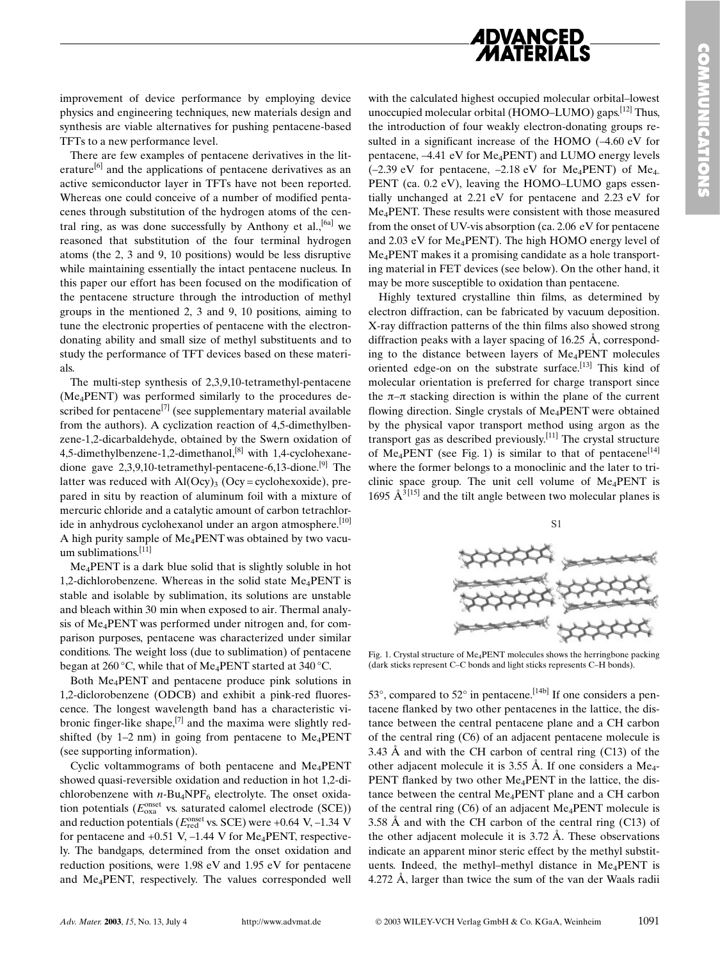

improvement of device performance by employing device physics and engineering techniques, new materials design and synthesis are viable alternatives for pushing pentacene-based TFTs to a new performance level.

There are few examples of pentacene derivatives in the literature<sup>[6]</sup> and the applications of pentacene derivatives as an active semiconductor layer in TFTs have not been reported. Whereas one could conceive of a number of modified pentacenes through substitution of the hydrogen atoms of the central ring, as was done successfully by Anthony et al.,  $^{[6a]}$  we reasoned that substitution of the four terminal hydrogen atoms (the  $2$ ,  $3$  and  $9$ ,  $10$  positions) would be less disruptive while maintaining essentially the intact pentacene nucleus. In this paper our effort has been focused on the modification of the pentacene structure through the introduction of methyl groups in the mentioned 2, 3 and 9, 10 positions, aiming to tune the electronic properties of pentacene with the electrondonating ability and small size of methyl substituents and to study the performance of TFT devices based on these materials.

The multi-step synthesis of 2,3,9,10-tetramethyl-pentacene (Me<sub>4</sub>PENT) was performed similarly to the procedures described for pentacene<sup>[7]</sup> (see supplementary material available from the authors). A cyclization reaction of 4,5-dimethylbenzene-1,2-dicarbaldehyde, obtained by the Swern oxidation of 4,5-dimethylbenzene-1,2-dimethanol,<sup>[8]</sup> with 1,4-cyclohexanedione gave  $2.3.9.10$ -tetramethyl-pentacene-6.13-dione.<sup>[9]</sup> The latter was reduced with  $AI(Ocy)_{3} (Ocy = cyclohexoxide)$ , prepared in situ by reaction of aluminum foil with a mixture of mercuric chloride and a catalytic amount of carbon tetrachloride in anhydrous cyclohexanol under an argon atmosphere.<sup>[10]</sup> A high purity sample of Me<sub>4</sub>PENT was obtained by two vacuum sublimations.  $[11]$ 

 $Me<sub>4</sub>PENT$  is a dark blue solid that is slightly soluble in hot 1,2-dichlorobenzene. Whereas in the solid state Me<sub>4</sub>PENT is stable and isolable by sublimation, its solutions are unstable and bleach within 30 min when exposed to air. Thermal analysis of Me<sub>4</sub>PENT was performed under nitrogen and, for comparison purposes, pentacene was characterized under similar conditions. The weight loss (due to sublimation) of pentacene began at 260 °C, while that of Me<sub>4</sub>PENT started at 340 °C.

Both Me<sub>4</sub>PENT and pentacene produce pink solutions in 1,2-diclorobenzene (ODCB) and exhibit a pink-red fluorescence. The longest wavelength band has a characteristic vibronic finger-like shape,<sup>[7]</sup> and the maxima were slightly redshifted (by 1–2 nm) in going from pentacene to  $Me<sub>4</sub>PENT$ (see supporting information).

Cyclic voltammograms of both pentacene and Me<sub>4</sub>PENT showed quasi-reversible oxidation and reduction in hot 1,2-dichlorobenzene with  $n$ -Bu<sub>4</sub>NPF<sub>6</sub> electrolyte. The onset oxidation potentials ( $E_{\text{oxa}}^{\text{onset}}$  vs. saturated calomel electrode (SCE)) and reduction potentials ( $E_{\text{red}}^{\text{onset}}$  vs. SCE) were +0.64 V, -1.34 V for pentacene and  $+0.51$  V,  $-1.44$  V for Me<sub>4</sub>PENT, respectively. The bandgaps, determined from the onset oxidation and reduction positions, were 1.98 eV and 1.95 eV for pentacene and Me<sub>4</sub>PENT, respectively. The values corresponded well

with the calculated highest occupied molecular orbital-lowest unoccupied molecular orbital (HOMO–LUMO) gaps.<sup>[12]</sup> Thus, the introduction of four weakly electron-donating groups resulted in a significant increase of the HOMO  $(-4.60 \text{ eV}$  for pentacene, -4.41 eV for Me<sub>4</sub>PENT) and LUMO energy levels  $(-2.39 \text{ eV}$  for pentacene,  $-2.18 \text{ eV}$  for Me<sub>4</sub>PENT) of Me<sub>4</sub> PENT (ca. 0.2 eV), leaving the HOMO-LUMO gaps essentially unchanged at 2.21 eV for pentacene and 2.23 eV for Me<sub>4</sub>PENT. These results were consistent with those measured from the onset of UV-vis absorption (ca. 2.06 eV for pentacene and 2.03 eV for Me<sub>4</sub>PENT). The high HOMO energy level of Me<sub>4</sub>PENT makes it a promising candidate as a hole transporting material in FET devices (see below). On the other hand, it may be more susceptible to oxidation than pentacene.

Highly textured crystalline thin films, as determined by electron diffraction, can be fabricated by vacuum deposition. X-ray diffraction patterns of the thin films also showed strong diffraction peaks with a layer spacing of  $16.25$  Å, corresponding to the distance between layers of Me<sub>4</sub>PENT molecules oriented edge-on on the substrate surface.<sup>[13]</sup> This kind of molecular orientation is preferred for charge transport since the  $\pi$ - $\pi$  stacking direction is within the plane of the current flowing direction. Single crystals of Me<sub>4</sub>PENT were obtained by the physical vapor transport method using argon as the transport gas as described previously.<sup>[11]</sup> The crystal structure of Me<sub>4</sub>PENT (see Fig. 1) is similar to that of pentacene<sup>[14]</sup> where the former belongs to a monoclinic and the later to triclinic space group. The unit cell volume of  $Me<sub>4</sub>PENT$  is 1695  $A^{3[15]}$  and the tilt angle between two molecular planes is



Fig. 1. Crystal structure of  $Me<sub>4</sub>$ PENT molecules shows the herringbone packing (dark sticks represent C-C bonds and light sticks represents C-H bonds).

53°, compared to  $52^{\circ}$  in pentacene.<sup>[14b]</sup> If one considers a pentacene flanked by two other pentacenes in the lattice, the distance between the central pentacene plane and a CH carbon of the central ring (C6) of an adjacent pentacene molecule is 3.43 Å and with the CH carbon of central ring  $(C13)$  of the other adjacent molecule it is 3.55 Å. If one considers a Me<sub>4</sub>-PENT flanked by two other Me<sub>4</sub>PENT in the lattice, the distance between the central Me<sub>4</sub>PENT plane and a CH carbon of the central ring  $(C6)$  of an adjacent Me<sub>4</sub>PENT molecule is 3.58 Å and with the CH carbon of the central ring  $(C13)$  of the other adjacent molecule it is  $3.72 \text{ Å}$ . These observations indicate an apparent minor steric effect by the methyl substituents. Indeed, the methyl-methyl distance in Me<sub>4</sub>PENT is 4.272 Å, larger than twice the sum of the van der Waals radii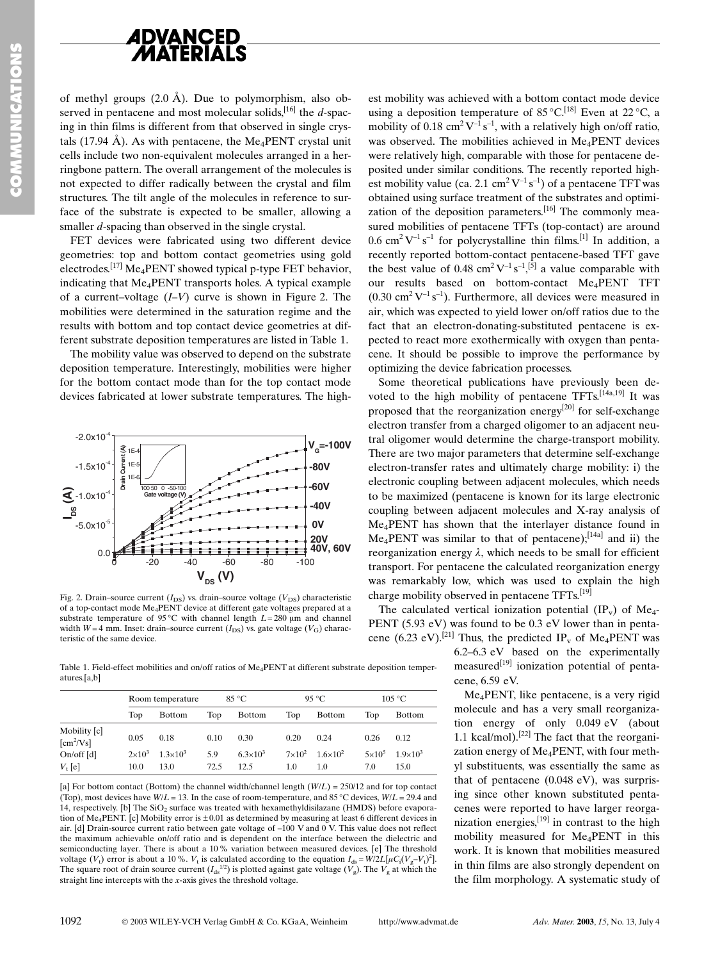

of methyl groups  $(2.0 \text{ Å})$ . Due to polymorphism, also observed in pentacene and most molecular solids,  $[16]$  the d-spacing in thin films is different from that observed in single crystals (17.94 Å). As with pentacene, the  $Me_4$ PENT crystal unit cells include two non-equivalent molecules arranged in a herringbone pattern. The overall arrangement of the molecules is not expected to differ radically between the crystal and film structures. The tilt angle of the molecules in reference to surface of the substrate is expected to be smaller, allowing a smaller *d*-spacing than observed in the single crystal.

FET devices were fabricated using two different device geometries: top and bottom contact geometries using gold electrodes.<sup>[17]</sup> Me<sub>4</sub>PENT showed typical p-type FET behavior, indicating that Me<sub>4</sub>PENT transports holes. A typical example of a current-voltage  $(I-V)$  curve is shown in Figure 2. The mobilities were determined in the saturation regime and the results with bottom and top contact device geometries at different substrate deposition temperatures are listed in Table 1.

The mobility value was observed to depend on the substrate deposition temperature. Interestingly, mobilities were higher for the bottom contact mode than for the top contact mode devices fabricated at lower substrate temperatures. The high-



Fig. 2. Drain-source current  $(I_{DS})$  vs. drain-source voltage  $(V_{DS})$  characteristic of a top-contact mode Me<sub>4</sub>PENT device at different gate voltages prepared at a substrate temperature of 95 °C with channel length  $L = 280 \mu m$  and channel width  $W = 4$  mm. Inset: drain-source current  $(I_{DS})$  vs. gate voltage  $(V_G)$  charac-

atures la bl

 $[cm^2/Vs]$ 

 $V_{t}$ [e]

1092

On/off  $[d]$ 

 $2\times10^3$ 

 $100$ 

 $130$ 

 $1.3 \times 10^{3}$ 

est mobility was achieved with a bottom contact mode device using a deposition temperature of 85 °C.<sup>[18]</sup> Even at 22 °C, a mobility of 0.18 cm<sup>2</sup>  $V^{-1}$  s<sup>-1</sup>, with a relatively high on/off ratio, was observed. The mobilities achieved in Me<sub>4</sub>PENT devices were relatively high, comparable with those for pentacene deposited under similar conditions. The recently reported highest mobility value (ca. 2.1 cm<sup>2</sup> $V^{-1}$ s<sup>-1</sup>) of a pentacene TFT was obtained using surface treatment of the substrates and optimization of the deposition parameters.<sup>[16]</sup> The commonly measured mobilities of pentacene TFTs (top-contact) are around  $0.6$  cm<sup>2</sup>V<sup>-1</sup>s<sup>-1</sup> for polycrystalline thin films.<sup>[1]</sup> In addition, a recently reported bottom-contact pentacene-based TFT gave the best value of 0.48 cm<sup>2</sup> V<sup>-1</sup> s<sup>-1</sup>,<sup>[5]</sup> a value comparable with our results based on bottom-contact Me<sub>4</sub>PENT TFT  $(0.30 \text{ cm}^2 \text{ V}^{-1} \text{ s}^{-1})$ . Furthermore, all devices were measured in air, which was expected to yield lower on/off ratios due to the fact that an electron-donating-substituted pentacene is expected to react more exothermically with oxygen than pentacene. It should be possible to improve the performance by optimizing the device fabrication processes.

Some theoretical publications have previously been devoted to the high mobility of pentacene TFTs.<sup>[14a,19]</sup> It was proposed that the reorganization energy<sup>[20]</sup> for self-exchange electron transfer from a charged oligomer to an adjacent neutral oligomer would determine the charge-transport mobility. There are two major parameters that determine self-exchange electron-transfer rates and ultimately charge mobility: i) the electronic coupling between adjacent molecules, which needs to be maximized (pentacene is known for its large electronic coupling between adjacent molecules and X-ray analysis of Me<sub>4</sub>PENT has shown that the interlayer distance found in Me<sub>4</sub>PENT was similar to that of pentacene);<sup>[14a]</sup> and ii) the reorganization energy  $\lambda$ , which needs to be small for efficient transport. For pentacene the calculated reorganization energy was remarkably low, which was used to explain the high charge mobility observed in pentacene TFTs.<sup>[19]</sup>

The calculated vertical ionization potential  $(\text{IP}_v)$  of Me<sub>4</sub>-PENT (5.93 eV) was found to be  $0.3$  eV lower than in pentacene (6.23 eV).<sup>[21]</sup> Thus, the predicted IP<sub>y</sub> of Me<sub>4</sub>PENT was

6.2–6.3 eV based on the experimentally measured $[19]$  ionization potential of pentacene, 6.59 eV.

Me<sub>4</sub>PENT, like pentacene, is a very rigid molecule and has a very small reorganization energy of only  $0.049 \text{ eV}$  (about 1.1 kcal/mol).<sup>[22]</sup> The fact that the reorganization energy of Me<sub>4</sub>PENT, with four methvl substituents, was essentially the same as that of pentacene  $(0.048 \text{ eV})$ , was surprising since other known substituted pentacenes were reported to have larger reorganization energies,  $[19]$  in contrast to the high mobility measured for Me<sub>4</sub>PENT in this work. It is known that mobilities measured in thin films are also strongly dependent on the film morphology. A systematic study of

teristic of the same device Table 1. Field-effect mobilities and on/off ratios of Me<sub>4</sub>PENT at different substrate deposition temper-

 $59$ 

 $72.5$ 

|                                                         | Room temperature |               | 85 °C |        | $95^{\circ}$ C |               | 105 °C |               |  |
|---------------------------------------------------------|------------------|---------------|-------|--------|----------------|---------------|--------|---------------|--|
|                                                         | Top              | <b>Bottom</b> | Top   | Bottom | Top            | <b>Bottom</b> | Top    | <b>Bottom</b> |  |
| Mobility [c]<br>$\mathbf{r} = 2\mathbf{w} + \mathbf{r}$ | 0.05             | 0.18          | 0.10  | 0.30   | 0.20           | 0.24          | 0.26   | 0.12          |  |

 $6.3 \times 10^{3}$ 

 $12.5$ 

[a] For bottom contact (Bottom) the channel width/channel length  $(W/L) = 250/12$  and for top contact (Top), most devices have  $W/L = 13$ . In the case of room-temperature, and 85 °C devices,  $W/L = 29.4$  and 14. respectively. [b] The SiO<sub>2</sub> surface was treated with hexamethyldisilazane (HMDS) before evaporation of Me<sub>4</sub>PENT. [c] Mobility error is  $\pm 0.01$  as determined by measuring at least 6 different devices in air. [d] Drain-source current ratio between gate voltage of -100 V and 0 V. This value does not reflect the maximum achievable on/off ratio and is dependent on the interface between the dielectric and semiconducting layer. There is about a 10% variation between measured devices. [e] The threshold voltage  $(V_t)$  error is about a 10%.  $V_t$  is calculated according to the equation  $I_{ds} = W/2L[\mu C_i(V_g - V_t)^2]$ . The square root of drain source current  $(I_{ds}^{1/2})$  is plotted against gate voltage  $(V_g)$ . The  $V_g$  at which the straight line intercepts with the  $x$ -axis gives the threshold voltage.

 $150$ 

 $1.9 \times 10^{3}$ 

 $5\times10^5$ 

 $70$ 

 $1.6 \times 10^{2}$ 

 $1<sub>0</sub>$ 

 $7\times10^2$ 

 $1<sub>0</sub>$